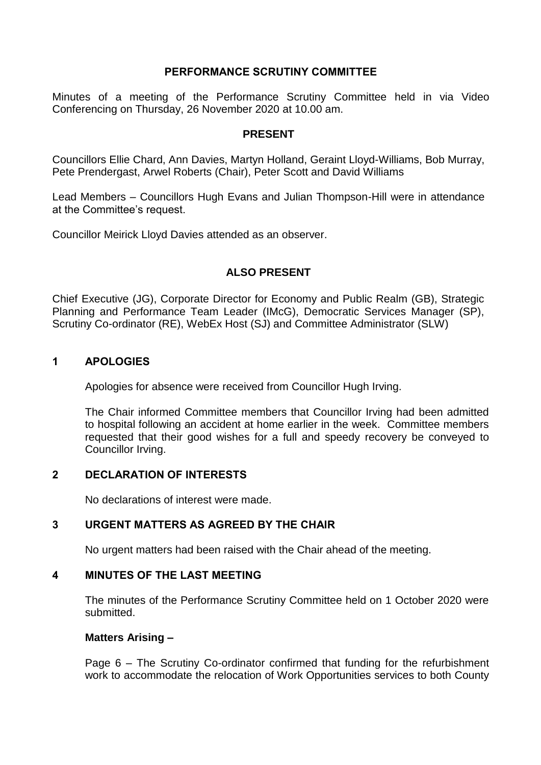## **PERFORMANCE SCRUTINY COMMITTEE**

Minutes of a meeting of the Performance Scrutiny Committee held in via Video Conferencing on Thursday, 26 November 2020 at 10.00 am.

#### **PRESENT**

Councillors Ellie Chard, Ann Davies, Martyn Holland, Geraint Lloyd-Williams, Bob Murray, Pete Prendergast, Arwel Roberts (Chair), Peter Scott and David Williams

Lead Members – Councillors Hugh Evans and Julian Thompson-Hill were in attendance at the Committee's request.

Councillor Meirick Lloyd Davies attended as an observer.

## **ALSO PRESENT**

Chief Executive (JG), Corporate Director for Economy and Public Realm (GB), Strategic Planning and Performance Team Leader (IMcG), Democratic Services Manager (SP), Scrutiny Co-ordinator (RE), WebEx Host (SJ) and Committee Administrator (SLW)

## **1 APOLOGIES**

Apologies for absence were received from Councillor Hugh Irving.

The Chair informed Committee members that Councillor Irving had been admitted to hospital following an accident at home earlier in the week. Committee members requested that their good wishes for a full and speedy recovery be conveyed to Councillor Irving.

## **2 DECLARATION OF INTERESTS**

No declarations of interest were made.

## **3 URGENT MATTERS AS AGREED BY THE CHAIR**

No urgent matters had been raised with the Chair ahead of the meeting.

## **4 MINUTES OF THE LAST MEETING**

The minutes of the Performance Scrutiny Committee held on 1 October 2020 were submitted.

## **Matters Arising –**

Page 6 – The Scrutiny Co-ordinator confirmed that funding for the refurbishment work to accommodate the relocation of Work Opportunities services to both County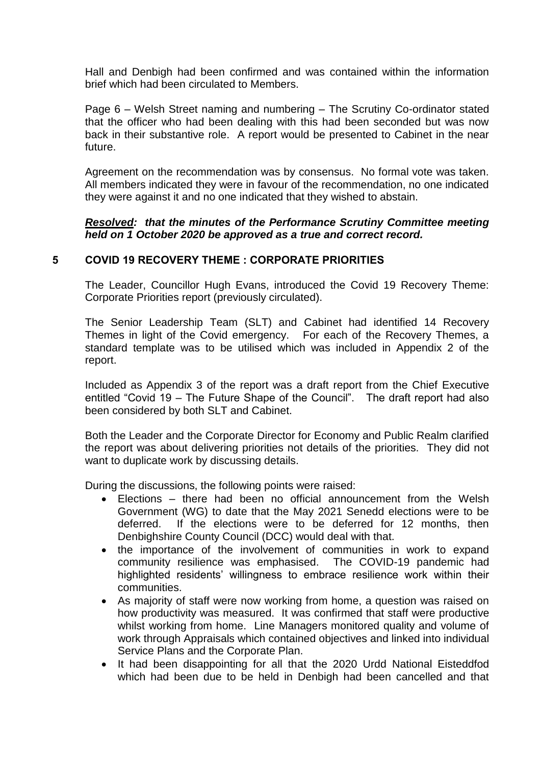Hall and Denbigh had been confirmed and was contained within the information brief which had been circulated to Members.

Page 6 – Welsh Street naming and numbering – The Scrutiny Co-ordinator stated that the officer who had been dealing with this had been seconded but was now back in their substantive role. A report would be presented to Cabinet in the near future.

Agreement on the recommendation was by consensus. No formal vote was taken. All members indicated they were in favour of the recommendation, no one indicated they were against it and no one indicated that they wished to abstain.

#### *Resolved: that the minutes of the Performance Scrutiny Committee meeting held on 1 October 2020 be approved as a true and correct record.*

## **5 COVID 19 RECOVERY THEME : CORPORATE PRIORITIES**

The Leader, Councillor Hugh Evans, introduced the Covid 19 Recovery Theme: Corporate Priorities report (previously circulated).

The Senior Leadership Team (SLT) and Cabinet had identified 14 Recovery Themes in light of the Covid emergency. For each of the Recovery Themes, a standard template was to be utilised which was included in Appendix 2 of the report.

Included as Appendix 3 of the report was a draft report from the Chief Executive entitled "Covid 19 – The Future Shape of the Council". The draft report had also been considered by both SLT and Cabinet.

Both the Leader and the Corporate Director for Economy and Public Realm clarified the report was about delivering priorities not details of the priorities. They did not want to duplicate work by discussing details.

During the discussions, the following points were raised:

- Elections there had been no official announcement from the Welsh Government (WG) to date that the May 2021 Senedd elections were to be deferred. If the elections were to be deferred for 12 months, then Denbighshire County Council (DCC) would deal with that.
- the importance of the involvement of communities in work to expand community resilience was emphasised. The COVID-19 pandemic had highlighted residents' willingness to embrace resilience work within their communities.
- As majority of staff were now working from home, a question was raised on how productivity was measured. It was confirmed that staff were productive whilst working from home. Line Managers monitored quality and volume of work through Appraisals which contained objectives and linked into individual Service Plans and the Corporate Plan.
- It had been disappointing for all that the 2020 Urdd National Eisteddfod which had been due to be held in Denbigh had been cancelled and that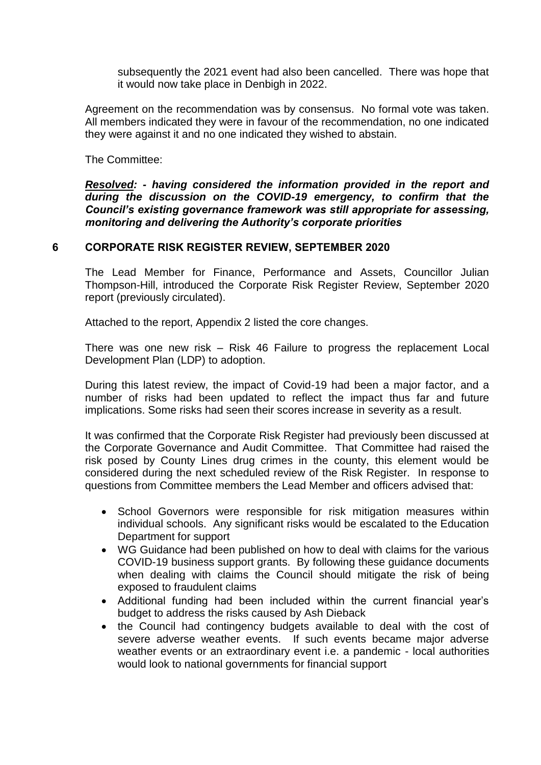subsequently the 2021 event had also been cancelled. There was hope that it would now take place in Denbigh in 2022.

Agreement on the recommendation was by consensus. No formal vote was taken. All members indicated they were in favour of the recommendation, no one indicated they were against it and no one indicated they wished to abstain.

The Committee:

*Resolved: - having considered the information provided in the report and during the discussion on the COVID-19 emergency, to confirm that the Council's existing governance framework was still appropriate for assessing, monitoring and delivering the Authority's corporate priorities*

## **6 CORPORATE RISK REGISTER REVIEW, SEPTEMBER 2020**

The Lead Member for Finance, Performance and Assets, Councillor Julian Thompson-Hill, introduced the Corporate Risk Register Review, September 2020 report (previously circulated).

Attached to the report, Appendix 2 listed the core changes.

There was one new risk – Risk 46 Failure to progress the replacement Local Development Plan (LDP) to adoption.

During this latest review, the impact of Covid-19 had been a major factor, and a number of risks had been updated to reflect the impact thus far and future implications. Some risks had seen their scores increase in severity as a result.

It was confirmed that the Corporate Risk Register had previously been discussed at the Corporate Governance and Audit Committee. That Committee had raised the risk posed by County Lines drug crimes in the county, this element would be considered during the next scheduled review of the Risk Register. In response to questions from Committee members the Lead Member and officers advised that:

- School Governors were responsible for risk mitigation measures within individual schools. Any significant risks would be escalated to the Education Department for support
- WG Guidance had been published on how to deal with claims for the various COVID-19 business support grants. By following these guidance documents when dealing with claims the Council should mitigate the risk of being exposed to fraudulent claims
- Additional funding had been included within the current financial year's budget to address the risks caused by Ash Dieback
- the Council had contingency budgets available to deal with the cost of severe adverse weather events. If such events became major adverse weather events or an extraordinary event i.e. a pandemic - local authorities would look to national governments for financial support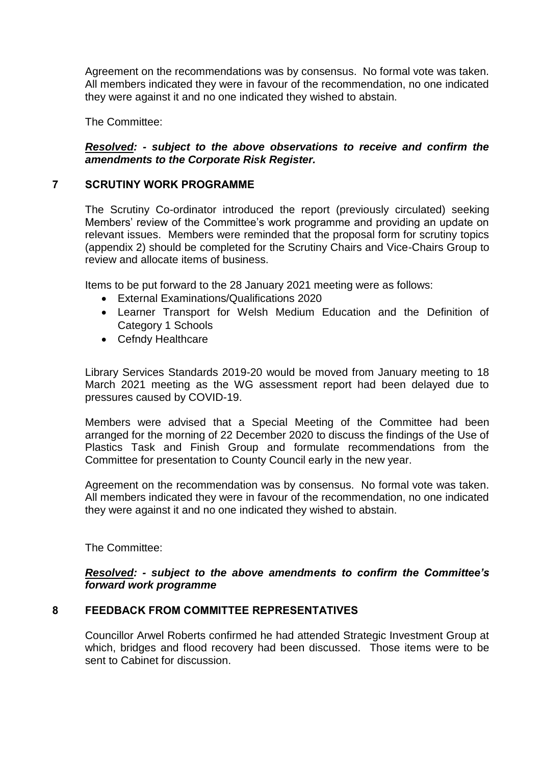Agreement on the recommendations was by consensus. No formal vote was taken. All members indicated they were in favour of the recommendation, no one indicated they were against it and no one indicated they wished to abstain.

The Committee:

## *Resolved: - subject to the above observations to receive and confirm the amendments to the Corporate Risk Register.*

# **7 SCRUTINY WORK PROGRAMME**

The Scrutiny Co-ordinator introduced the report (previously circulated) seeking Members' review of the Committee's work programme and providing an update on relevant issues. Members were reminded that the proposal form for scrutiny topics (appendix 2) should be completed for the Scrutiny Chairs and Vice-Chairs Group to review and allocate items of business.

Items to be put forward to the 28 January 2021 meeting were as follows:

- External Examinations/Qualifications 2020
- Learner Transport for Welsh Medium Education and the Definition of Category 1 Schools
- Cefndy Healthcare

Library Services Standards 2019-20 would be moved from January meeting to 18 March 2021 meeting as the WG assessment report had been delayed due to pressures caused by COVID-19.

Members were advised that a Special Meeting of the Committee had been arranged for the morning of 22 December 2020 to discuss the findings of the Use of Plastics Task and Finish Group and formulate recommendations from the Committee for presentation to County Council early in the new year.

Agreement on the recommendation was by consensus. No formal vote was taken. All members indicated they were in favour of the recommendation, no one indicated they were against it and no one indicated they wished to abstain.

The Committee:

## *Resolved: - subject to the above amendments to confirm the Committee's forward work programme*

# **8 FEEDBACK FROM COMMITTEE REPRESENTATIVES**

Councillor Arwel Roberts confirmed he had attended Strategic Investment Group at which, bridges and flood recovery had been discussed. Those items were to be sent to Cabinet for discussion.